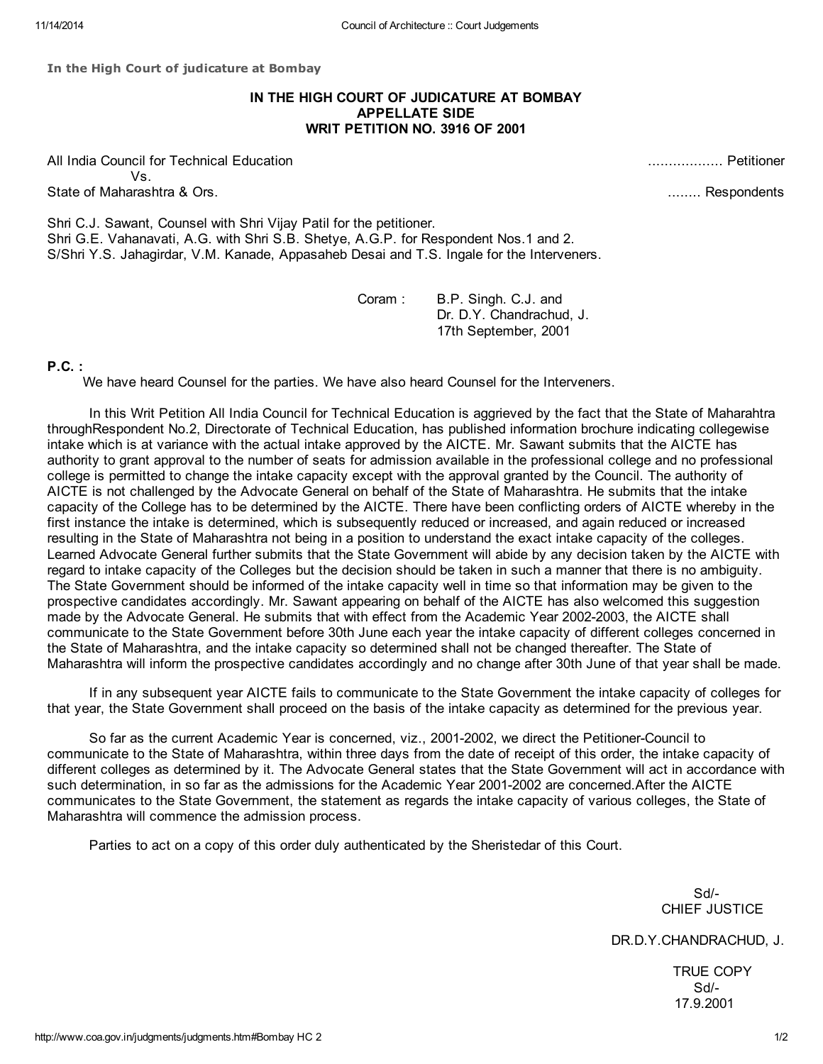In the High Court of judicature at Bombay

## IN THE HIGH COURT OF JUDICATURE AT BOMBAY APPELLATE SIDE WRIT PETITION NO. 3916 OF 2001

All India Council for Technical Education .................. Petitioner Vs. State of Maharashtra & Ors. ........ Respondents

Shri C.J. Sawant, Counsel with Shri Vijay Patil for the petitioner. Shri G.E. Vahanavati, A.G. with Shri S.B. Shetye, A.G.P. for Respondent Nos.1 and 2. S/Shri Y.S. Jahagirdar, V.M. Kanade, Appasaheb Desai and T.S. Ingale for the Interveners.

> Coram : B.P. Singh. C.J. and Dr. D.Y. Chandrachud, J. 17th September, 2001

## P.C. :

We have heard Counsel for the parties. We have also heard Counsel for the Interveners.

In this Writ Petition All India Council for Technical Education is aggrieved by the fact that the State of Maharahtra throughRespondent No.2, Directorate of Technical Education, has published information brochure indicating collegewise intake which is at variance with the actual intake approved by the AICTE. Mr. Sawant submits that the AICTE has authority to grant approval to the number of seats for admission available in the professional college and no professional college is permitted to change the intake capacity except with the approval granted by the Council. The authority of AICTE is not challenged by the Advocate General on behalf of the State of Maharashtra. He submits that the intake capacity of the College has to be determined by the AICTE. There have been conflicting orders of AICTE whereby in the first instance the intake is determined, which is subsequently reduced or increased, and again reduced or increased resulting in the State of Maharashtra not being in a position to understand the exact intake capacity of the colleges. Learned Advocate General further submits that the State Government will abide by any decision taken by the AICTE with regard to intake capacity of the Colleges but the decision should be taken in such a manner that there is no ambiguity. The State Government should be informed of the intake capacity well in time so that information may be given to the prospective candidates accordingly. Mr. Sawant appearing on behalf of the AICTE has also welcomed this suggestion made by the Advocate General. He submits that with effect from the Academic Year 2002-2003, the AICTE shall communicate to the State Government before 30th June each year the intake capacity of different colleges concerned in the State of Maharashtra, and the intake capacity so determined shall not be changed thereafter. The State of Maharashtra will inform the prospective candidates accordingly and no change after 30th June of that year shall be made.

If in any subsequent year AICTE fails to communicate to the State Government the intake capacity of colleges for that year, the State Government shall proceed on the basis of the intake capacity as determined for the previous year.

So far as the current Academic Year is concerned, viz., 2001-2002, we direct the Petitioner-Council to communicate to the State of Maharashtra, within three days from the date of receipt of this order, the intake capacity of different colleges as determined by it. The Advocate General states that the State Government will act in accordance with such determination, in so far as the admissions for the Academic Year 2001-2002 are concerned.After the AICTE communicates to the State Government, the statement as regards the intake capacity of various colleges, the State of Maharashtra will commence the admission process.

Parties to act on a copy of this order duly authenticated by the Sheristedar of this Court.

Sd/- CHIEF JUSTICE

DR.D.Y.CHANDRACHUD, J.

TRUE COPY Sd/- 17.9.2001